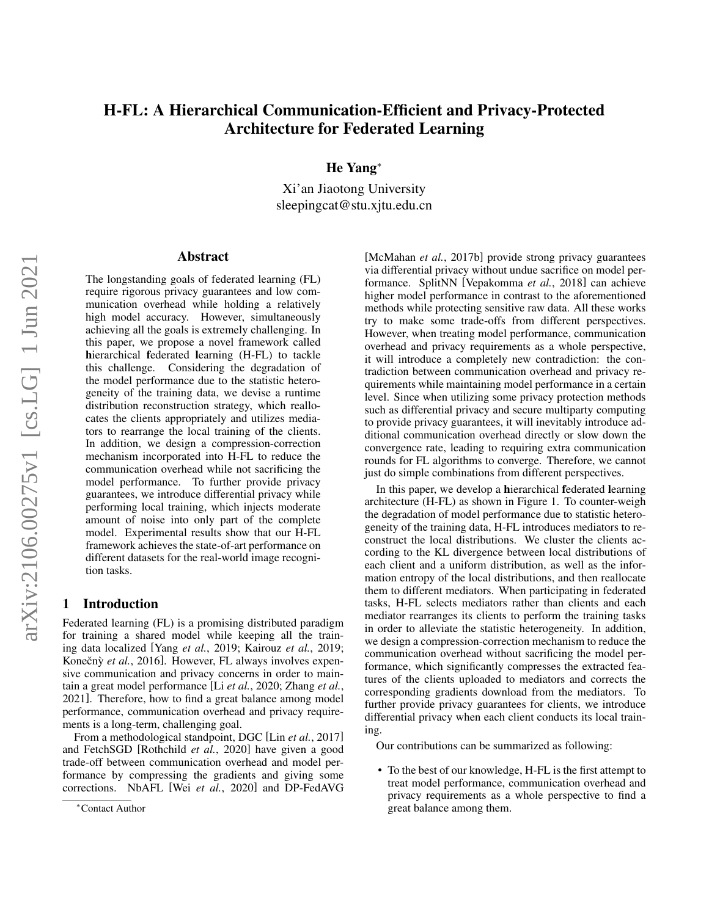# H-FL: A Hierarchical Communication-Efficient and Privacy-Protected Architecture for Federated Learning

He Yang<sup>∗</sup>

Xi'an Jiaotong University sleepingcat@stu.xjtu.edu.cn

## Abstract

The longstanding goals of federated learning (FL) require rigorous privacy guarantees and low communication overhead while holding a relatively high model accuracy. However, simultaneously achieving all the goals is extremely challenging. In this paper, we propose a novel framework called hierarchical federated learning (H-FL) to tackle this challenge. Considering the degradation of the model performance due to the statistic heterogeneity of the training data, we devise a runtime distribution reconstruction strategy, which reallocates the clients appropriately and utilizes mediators to rearrange the local training of the clients. In addition, we design a compression-correction mechanism incorporated into H-FL to reduce the communication overhead while not sacrificing the model performance. To further provide privacy guarantees, we introduce differential privacy while performing local training, which injects moderate amount of noise into only part of the complete model. Experimental results show that our H-FL framework achieves the state-of-art performance on different datasets for the real-world image recognition tasks.

# 1 Introduction

Federated learning (FL) is a promising distributed paradigm for training a shared model while keeping all the training data localized [Yang *et al.*[, 2019;](#page-6-0) [Kairouz](#page-6-1) *et al.*, 2019; Konečný et al., 2016]. However, FL always involves expensive communication and privacy concerns in order to maintain a great model performance [Li *et al.*[, 2020;](#page-6-3) [Zhang](#page-6-4) *et al.*, [2021\]](#page-6-4). Therefore, how to find a great balance among model performance, communication overhead and privacy requirements is a long-term, challenging goal.

From a methodological standpoint, DGC [Lin *et al.*[, 2017\]](#page-6-5) and FetchSGD [\[Rothchild](#page-6-6) *et al.*, 2020] have given a good trade-off between communication overhead and model performance by compressing the gradients and giving some corrections. NbAFL [Wei *et al.*[, 2020\]](#page-6-7) and DP-FedAVG [\[McMahan](#page-6-8) *et al.*, 2017b] provide strong privacy guarantees via differential privacy without undue sacrifice on model performance. SplitNN [\[Vepakomma](#page-6-9) *et al.*, 2018] can achieve higher model performance in contrast to the aforementioned methods while protecting sensitive raw data. All these works try to make some trade-offs from different perspectives. However, when treating model performance, communication overhead and privacy requirements as a whole perspective, it will introduce a completely new contradiction: the contradiction between communication overhead and privacy requirements while maintaining model performance in a certain level. Since when utilizing some privacy protection methods such as differential privacy and secure multiparty computing to provide privacy guarantees, it will inevitably introduce additional communication overhead directly or slow down the convergence rate, leading to requiring extra communication rounds for FL algorithms to converge. Therefore, we cannot just do simple combinations from different perspectives.

In this paper, we develop a hierarchical federated learning architecture (H-FL) as shown in Figure [1.](#page-1-0) To counter-weigh the degradation of model performance due to statistic heterogeneity of the training data, H-FL introduces mediators to reconstruct the local distributions. We cluster the clients according to the KL divergence between local distributions of each client and a uniform distribution, as well as the information entropy of the local distributions, and then reallocate them to different mediators. When participating in federated tasks, H-FL selects mediators rather than clients and each mediator rearranges its clients to perform the training tasks in order to alleviate the statistic heterogeneity. In addition, we design a compression-correction mechanism to reduce the communication overhead without sacrificing the model performance, which significantly compresses the extracted features of the clients uploaded to mediators and corrects the corresponding gradients download from the mediators. To further provide privacy guarantees for clients, we introduce differential privacy when each client conducts its local training.

Our contributions can be summarized as following:

• To the best of our knowledge, H-FL is the first attempt to treat model performance, communication overhead and privacy requirements as a whole perspective to find a great balance among them.

<sup>∗</sup>Contact Author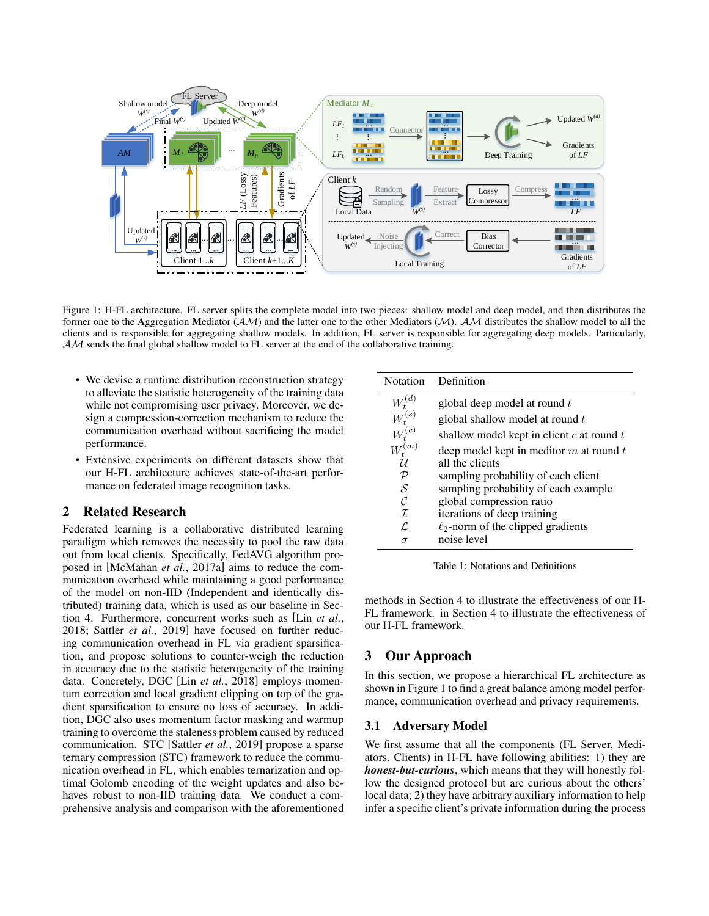<span id="page-1-0"></span>

Figure 1: H-FL architecture. FL server splits the complete model into two pieces: shallow model and deep model, and then distributes the former one to the Aggregation Mediator  $(A\mathcal{M})$  and the latter one to the other Mediators  $(\mathcal{M})$ .  $\mathcal{AM}$  distributes the shallow model to all the clients and is responsible for aggregating shallow models. In addition, FL server is responsible for aggregating deep models. Particularly,  $AM$  sends the final global shallow model to FL server at the end of the collaborative training.

- We devise a runtime distribution reconstruction strategy to alleviate the statistic heterogeneity of the training data while not compromising user privacy. Moreover, we design a compression-correction mechanism to reduce the communication overhead without sacrificing the model performance.
- Extensive experiments on different datasets show that our H-FL architecture achieves state-of-the-art performance on federated image recognition tasks.

# 2 Related Research

Federated learning is a collaborative distributed learning paradigm which removes the necessity to pool the raw data out from local clients. Specifically, FedAVG algorithm proposed in [\[McMahan](#page-6-10) *et al.*, 2017a] aims to reduce the communication overhead while maintaining a good performance of the model on non-IID (Independent and identically distributed) training data, which is used as our baseline in Section [4.](#page-4-0) Furthermore, concurrent works such as [Lin *[et al.](#page-6-11)*, [2018;](#page-6-11) Sattler *et al.*[, 2019\]](#page-6-12) have focused on further reducing communication overhead in FL via gradient sparsification, and propose solutions to counter-weigh the reduction in accuracy due to the statistic heterogeneity of the training data. Concretely, DGC [Lin *et al.*[, 2018\]](#page-6-11) employs momentum correction and local gradient clipping on top of the gradient sparsification to ensure no loss of accuracy. In addition, DGC also uses momentum factor masking and warmup training to overcome the staleness problem caused by reduced communication. STC [\[Sattler](#page-6-12) *et al.*, 2019] propose a sparse ternary compression (STC) framework to reduce the communication overhead in FL, which enables ternarization and optimal Golomb encoding of the weight updates and also behaves robust to non-IID training data. We conduct a comprehensive analysis and comparison with the aforementioned

| Notation      | Definition                                    |
|---------------|-----------------------------------------------|
| $W_t^{(d)}$   | global deep model at round t                  |
| $W_t^{(s)}$   | global shallow model at round t               |
| $W_t^{(c)}$   | shallow model kept in client $c$ at round $t$ |
| (m)           | deep model kept in meditor $m$ at round $t$   |
| $\cal U$      | all the clients                               |
| $\mathcal P$  | sampling probability of each client           |
| S             | sampling probability of each example          |
| $\mathcal{C}$ | global compression ratio                      |
| T.            | iterations of deep training                   |
| ſ.            | $\ell_2$ -norm of the clipped gradients       |
|               | noise level                                   |

Table 1: Notations and Definitions

methods in Section [4](#page-4-0) to illustrate the effectiveness of our H-FL framework. in Section [4](#page-4-0) to illustrate the effectiveness of our H-FL framework.

# 3 Our Approach

In this section, we propose a hierarchical FL architecture as shown in Figure [1](#page-1-0) to find a great balance among model performance, communication overhead and privacy requirements.

# 3.1 Adversary Model

We first assume that all the components (FL Server, Mediators, Clients) in H-FL have following abilities: 1) they are *honest-but-curious*, which means that they will honestly follow the designed protocol but are curious about the others' local data; 2) they have arbitrary auxiliary information to help infer a specific client's private information during the process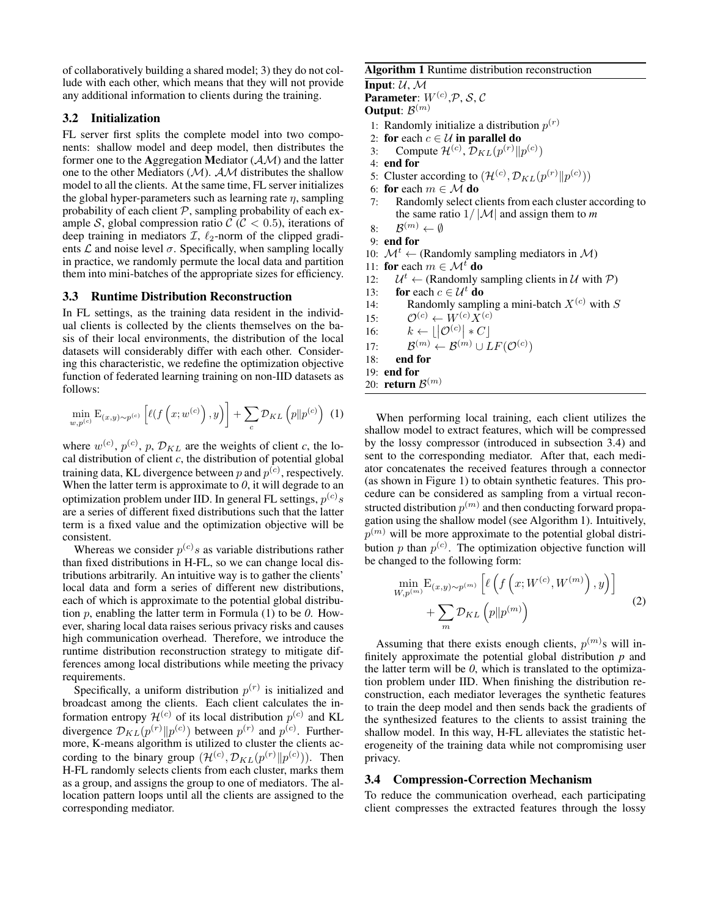of collaboratively building a shared model; 3) they do not collude with each other, which means that they will not provide any additional information to clients during the training.

# 3.2 Initialization

FL server first splits the complete model into two components: shallow model and deep model, then distributes the former one to the Aggregation Mediator  $(A \mathcal{M})$  and the latter one to the other Mediators  $(M)$ .  $AM$  distributes the shallow model to all the clients. At the same time, FL server initializes the global hyper-parameters such as learning rate  $\eta$ , sampling probability of each client  $P$ , sampling probability of each example S, global compression ratio  $\mathcal{C}$  ( $\mathcal{C}$  < 0.5), iterations of deep training in mediators  $\mathcal{I}$ ,  $\ell_2$ -norm of the clipped gradients  $\mathcal L$  and noise level  $\sigma$ . Specifically, when sampling locally in practice, we randomly permute the local data and partition them into mini-batches of the appropriate sizes for efficiency.

# 3.3 Runtime Distribution Reconstruction

In FL settings, as the training data resident in the individual clients is collected by the clients themselves on the basis of their local environments, the distribution of the local datasets will considerably differ with each other. Considering this characteristic, we redefine the optimization objective function of federated learning training on non-IID datasets as follows:

<span id="page-2-0"></span>
$$
\min_{w,p^{(c)}} \mathbf{E}_{(x,y)\sim p^{(c)}}\left[\ell(f\left(x;w^{(c)}\right),y)\right] + \sum_{c} \mathcal{D}_{KL}\left(p||p^{(c)}\right) \tag{1}
$$

where  $w^{(c)}$ ,  $p^{(c)}$ ,  $p$ ,  $\mathcal{D}_{KL}$  are the weights of client *c*, the local distribution of client  $c$ , the distribution of potential global training data, KL divergence between  $p$  and  $p^{(c)}$ , respectively. When the latter term is approximate to *0*, it will degrade to an optimization problem under IID. In general FL settings,  $p^{(c)}s$ are a series of different fixed distributions such that the latter term is a fixed value and the optimization objective will be consistent.

Whereas we consider  $p^{(c)}s$  as variable distributions rather than fixed distributions in H-FL, so we can change local distributions arbitrarily. An intuitive way is to gather the clients' local data and form a series of different new distributions, each of which is approximate to the potential global distribution p, enabling the latter term in Formula [\(1\)](#page-2-0) to be *0*. However, sharing local data raises serious privacy risks and causes high communication overhead. Therefore, we introduce the runtime distribution reconstruction strategy to mitigate differences among local distributions while meeting the privacy requirements.

Specifically, a uniform distribution  $p^{(r)}$  is initialized and broadcast among the clients. Each client calculates the information entropy  $\mathcal{H}^{(c)}$  of its local distribution  $p^{(c)}$  and KL divergence  $\mathcal{D}_{KL}(p^{(r)}||p^{(c)})$  between  $p^{(r)}$  and  $p^{(c)}$ . Furthermore, K-means algorithm is utilized to cluster the clients according to the binary group  $(\mathcal{H}^{(c)}, \mathcal{D}_{KL}(p^{(r)} \| p^{(c)}))$ . Then H-FL randomly selects clients from each cluster, marks them as a group, and assigns the group to one of mediators. The allocation pattern loops until all the clients are assigned to the corresponding mediator.

## <span id="page-2-2"></span>Algorithm 1 Runtime distribution reconstruction

Input:  $U, M$ 

**Parameter**:  $W^{(c)}, \mathcal{P}, \mathcal{S}, \mathcal{C}$ 

- **Output**:  $\mathcal{B}^{(m)}$
- 1: Randomly initialize a distribution  $p^{(r)}$
- 2: for each  $c \in \mathcal{U}$  in parallel do
- 3: Compute  $\mathcal{H}^{(c)}$ ,  $\mathcal{D}_{KL}(p^{(r)}||p^{(c)})$
- 4: end for
- 5: Cluster according to  $(\mathcal{H}^{(c)}, \mathcal{D}_{KL}(p^{(r)}||p^{(c)}))$
- 6: for each  $m \in \mathcal{M}$  do
- 7: Randomly select clients from each cluster according to the same ratio  $1/|\mathcal{M}|$  and assign them to *m*
- $8:$  $\mathcal{B}^{(m)} \leftarrow \emptyset$
- 9: end for
- 10:  $\mathcal{M}^t \leftarrow$  (Randomly sampling mediators in  $\mathcal{M}$ )
- 11: for each  $m \in \mathcal{M}^t$  do
- $12:$  $\mathcal{U}^t$  ← (Randomly sampling clients in  $\mathcal{U}$  with  $\mathcal{P}$ )
- 13: for each  $c \in \mathcal{U}^t$  do
- 14: Randomly sampling a mini-batch  $X^{(c)}$  with S
- 15:  $\mathcal{O}^{(c)} \leftarrow W^{(c)} \overline{X}^{(c)}$
- 16:  $k \leftarrow \lfloor |\mathcal{O}^{(c)}| * C \rfloor$
- $17:$  $(a^{(m)} \leftarrow \mathcal{B}^{(m)} \cup LF(\mathcal{O}^{(c)})$
- 18: end for
- 19: end for
- 20: **return**  $\mathcal{B}^{(m)}$

When performing local training, each client utilizes the shallow model to extract features, which will be compressed by the lossy compressor (introduced in subsection [3.4\)](#page-2-1) and sent to the corresponding mediator. After that, each mediator concatenates the received features through a connector (as shown in Figure [1\)](#page-1-0) to obtain synthetic features. This procedure can be considered as sampling from a virtual reconstructed distribution  $p^{(m)}$  and then conducting forward propagation using the shallow model (see Algorithm [1\)](#page-2-2). Intuitively,  $p^{(m)}$  will be more approximate to the potential global distribution  $p$  than  $p^{(c)}$ . The optimization objective function will be changed to the following form:

$$
\min_{W, p^{(m)}} \mathbf{E}_{(x,y)\sim p^{(m)}} \left[ \ell \left( f \left( x; W^{(c)}, W^{(m)} \right), y \right) \right] + \sum_{m} \mathcal{D}_{KL} \left( p \| p^{(m)} \right) \tag{2}
$$

Assuming that there exists enough clients,  $p^{(m)}$ s will infinitely approximate the potential global distribution *p* and the latter term will be *0*, which is translated to the optimization problem under IID. When finishing the distribution reconstruction, each mediator leverages the synthetic features to train the deep model and then sends back the gradients of the synthesized features to the clients to assist training the shallow model. In this way, H-FL alleviates the statistic heterogeneity of the training data while not compromising user privacy.

## <span id="page-2-1"></span>3.4 Compression-Correction Mechanism

To reduce the communication overhead, each participating client compresses the extracted features through the lossy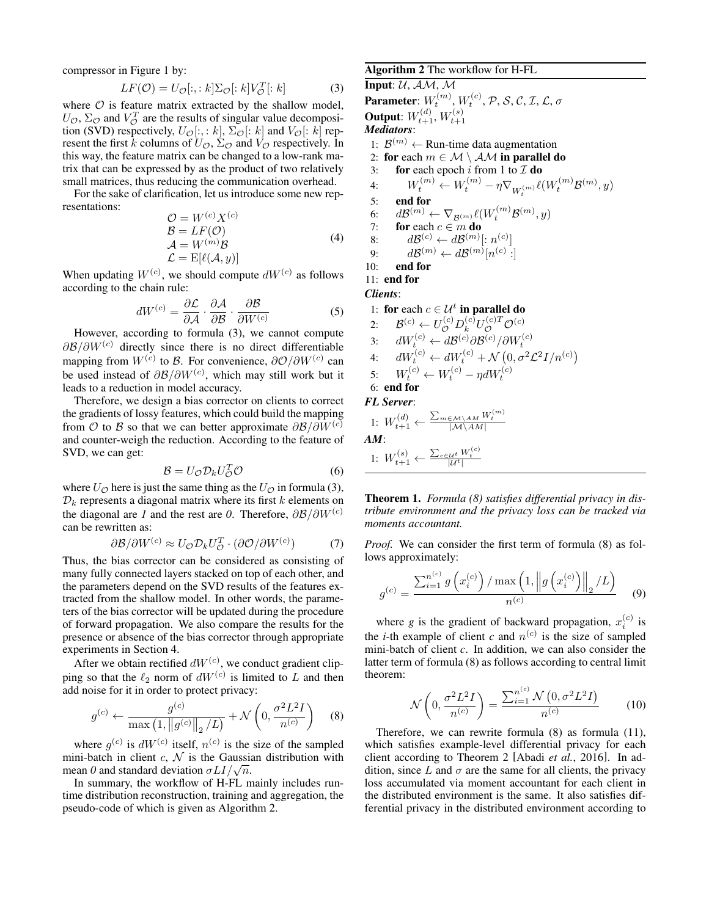compressor in Figure [1](#page-1-0) by:

<span id="page-3-0"></span>
$$
LF(\mathcal{O}) = U_{\mathcal{O}}[:, : k] \Sigma_{\mathcal{O}}[:k] V_{\mathcal{O}}^T[:k]
$$
 (3)

where  $\mathcal O$  is feature matrix extracted by the shallow model,  $U_{\mathcal{O}}$ ,  $\Sigma_{\mathcal{O}}$  and  $V_{\mathcal{O}}^T$  are the results of singular value decomposition (SVD) respectively,  $U_{\mathcal{O}}[:, : k], \Sigma_{\mathcal{O}}[:k]$  and  $V_{\mathcal{O}}[:k]$  represent the first k columns of  $U_{\mathcal{O}}$ ,  $\Sigma_{\mathcal{O}}$  and  $V_{\mathcal{O}}$  respectively. In this way, the feature matrix can be changed to a low-rank matrix that can be expressed by as the product of two relatively small matrices, thus reducing the communication overhead.

For the sake of clarification, let us introduce some new representations:

$$
\mathcal{O} = W^{(c)} X^{(c)} \n\mathcal{B} = LF(\mathcal{O}) \n\mathcal{A} = W^{(m)} \mathcal{B} \n\mathcal{L} = \mathcal{E}[\ell(\mathcal{A}, y)]
$$
\n(4)

When updating  $W^{(c)}$ , we should compute  $dW^{(c)}$  as follows according to the chain rule:

$$
dW^{(c)} = \frac{\partial \mathcal{L}}{\partial \mathcal{A}} \cdot \frac{\partial \mathcal{A}}{\partial \mathcal{B}} \cdot \frac{\partial \mathcal{B}}{\partial W^{(c)}}
$$
(5)

However, according to formula [\(3\)](#page-3-0), we cannot compute  $\partial \mathcal{B}/\partial W^{(c)}$  directly since there is no direct differentiable mapping from  $W^{(c)}$  to B. For convenience,  $\partial \mathcal{O}/\partial W^{(c)}$  can be used instead of  $\partial \mathcal{B}/\partial W^{(c)}$ , which may still work but it leads to a reduction in model accuracy.

Therefore, we design a bias corrector on clients to correct the gradients of lossy features, which could build the mapping from O to B so that we can better approximate  $\partial \mathcal{B}/\partial W^{(c)}$ and counter-weigh the reduction. According to the feature of SVD, we can get:

$$
\mathcal{B} = U_{\mathcal{O}} \mathcal{D}_k U_{\mathcal{O}}^T \mathcal{O} \tag{6}
$$

where  $U_{\mathcal{O}}$  here is just the same thing as the  $U_{\mathcal{O}}$  in formula [\(3\)](#page-3-0),  $D_k$  represents a diagonal matrix where its first  $k$  elements on the diagonal are *1* and the rest are *0*. Therefore,  $\partial \mathcal{B}/\partial W^{(c)}$ can be rewritten as:

$$
\partial \mathcal{B}/\partial W^{(c)} \approx U_{\mathcal{O}} \mathcal{D}_k U_{\mathcal{O}}^T \cdot (\partial \mathcal{O}/\partial W^{(c)}) \tag{7}
$$

Thus, the bias corrector can be considered as consisting of many fully connected layers stacked on top of each other, and the parameters depend on the SVD results of the features extracted from the shallow model. In other words, the parameters of the bias corrector will be updated during the procedure of forward propagation. We also compare the results for the presence or absence of the bias corrector through appropriate experiments in Section [4.](#page-4-0)

After we obtain rectified  $dW^{(c)}$ , we conduct gradient clipping so that the  $\ell_2$  norm of  $dW^{(c)}$  is limited to L and then add noise for it in order to protect privacy:

$$
g^{(c)} \leftarrow \frac{g^{(c)}}{\max (1, ||g^{(c)}||_2/L)} + \mathcal{N}\left(0, \frac{\sigma^2 L^2 I}{n^{(c)}}\right)
$$
 (8)

where  $g^{(c)}$  is  $dW^{(c)}$  itself,  $n^{(c)}$  is the size of the sampled mini-batch in client  $c, \mathcal{N}$  is the Gaussian distribution with mini-batch in chent *c*, *N* is the Gaussian mean *0* and standard deviation  $\sigma L I / \sqrt{n}$ .

In summary, the workflow of H-FL mainly includes runtime distribution reconstruction, training and aggregation, the pseudo-code of which is given as Algorithm [2.](#page-3-1)

<span id="page-3-1"></span>Algorithm 2 The workflow for H-FL Input:  $U, A M, M$ Parameter:  $W_t^{(m)}, W_t^{(c)}, \mathcal{P}, \mathcal{S}, \mathcal{C}, \mathcal{I}, \mathcal{L}, \sigma$ Output:  $W_{t+1}^{(d)}, W_{t+1}^{(s)}$ *Mediators*: 1:  $\mathcal{B}^{(m)}$  ← Run-time data augmentation 2: for each  $m \in \mathcal{M} \setminus \mathcal{AM}$  in parallel do 3: for each epoch i from 1 to  $\mathcal I$  do 4:  $W_t^{(m)} \leftarrow W_t^{(m)} - \eta \nabla_{W_t^{(m)}} \ell(W_t^{(m)} \mathcal{B}^{(m)}, y)$ 5: end for 6:  $d\mathcal{B}^{(m)} \leftarrow \nabla_{\mathcal{B}^{(m)}} \ell(W_t^{(m)} \mathcal{B}^{(m)}, y)$ 7: for each  $c \in m$  do 8:  $d\mathcal{B}^{(c)} \leftarrow d\mathcal{B}^{(m)}[:n^{(c)}]$ 9:  $d\mathcal{B}^{(m)} \leftarrow d\mathcal{B}^{(m)}[n^{(c)}:]$ 10: end for 11: end for *Clients*: 1: for each  $c \in \mathcal{U}^t$  in parallel do 2:  $\mathcal{B}^{(c)} \leftarrow U^{(c)}_\mathcal{O} D^{(c)}_k U^{(c)T}_\mathcal{O} \mathcal{O}^{(c)}$ 3:  $dW_t^{(c)} \leftarrow d\mathcal{B}^{(c)}\partial \mathcal{B}^{(c)}/\partial W_t^{(c)}$ <br>4:  $dW_t^{(c)} \leftarrow dW_t^{(c)} + \mathcal{N}(0, \sigma^2 \mathcal{L}^2 I/n^{(c)})$ 5:  $W_t^{(c)} \leftarrow W_t^{(c)} - \eta dW_t^{(c)}$ 6: end for *FL Server*: 1:  $W_{t+1}^{(d)} \leftarrow \frac{\sum_{m \in \mathcal{M} \setminus AM} W_t^{(m)}}{|M \setminus AM|}$ *AM*: 1:  $W_{t+1}^{(s)} \leftarrow \frac{\sum_{c \in \mathcal{U}^t} W_t^{(c)}}{|\mathcal{U}^t|}$ 

Theorem 1. *Formula [\(8\)](#page-3-2) satisfies differential privacy in distribute environment and the privacy loss can be tracked via moments accountant.*

*Proof.* We can consider the first term of formula [\(8\)](#page-3-2) as follows approximately:

$$
g^{(c)} = \frac{\sum_{i=1}^{n^{(c)}} g\left(x_i^{(c)}\right) / \max\left(1, \left\|g\left(x_i^{(c)}\right)\right\|_2 / L\right)}{n^{(c)}} \tag{9}
$$

where *g* is the gradient of backward propagation,  $x_i^{(c)}$  is the *i*-th example of client *c* and  $n^{(c)}$  is the size of sampled mini-batch of client *c*. In addition, we can also consider the latter term of formula [\(8\)](#page-3-2) as follows according to central limit theorem:

$$
\mathcal{N}\left(0, \frac{\sigma^2 L^2 I}{n^{(c)}}\right) = \frac{\sum_{i=1}^{n^{(c)}} \mathcal{N}\left(0, \sigma^2 L^2 I\right)}{n^{(c)}}\tag{10}
$$

<span id="page-3-2"></span>Therefore, we can rewrite formula [\(8\)](#page-3-2) as formula [\(11\)](#page-4-1), which satisfies example-level differential privacy for each client according to Theorem 2 [Abadi *et al.*[, 2016\]](#page-6-13). In addition, since L and  $\sigma$  are the same for all clients, the privacy loss accumulated via moment accountant for each client in the distributed environment is the same. It also satisfies differential privacy in the distributed environment according to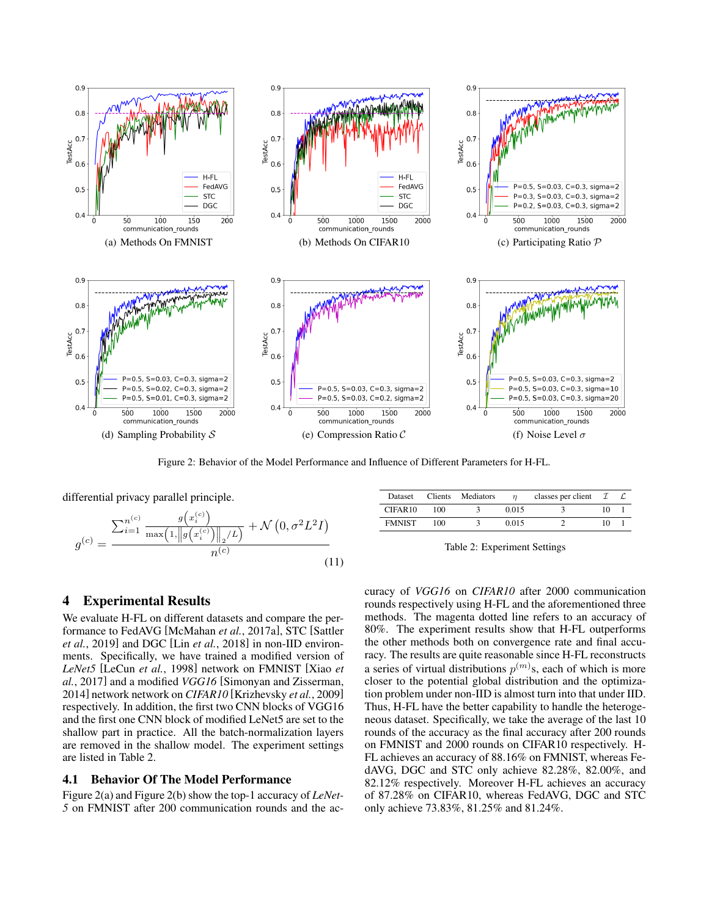<span id="page-4-4"></span><span id="page-4-3"></span>

<span id="page-4-7"></span><span id="page-4-1"></span>Figure 2: Behavior of the Model Performance and Influence of Different Parameters for H-FL.

<span id="page-4-6"></span>differential privacy parallel principle.

$$
g^{(c)} = \frac{\sum_{i=1}^{n^{(c)}} \frac{g(x_i^{(c)})}{\max(1, \|g(x_i^{(c)})\|_2/L)} + \mathcal{N}(0, \sigma^2 L^2 I)}{n^{(c)}} \tag{11}
$$

<span id="page-4-8"></span><span id="page-4-5"></span><span id="page-4-2"></span>

| Dataset             | <b>Clients</b> | Mediators |       | classes per client $\mathcal I$ |     |  |
|---------------------|----------------|-----------|-------|---------------------------------|-----|--|
| CIFAR <sub>10</sub> | 100            |           | 0.015 |                                 | ו ו |  |
| <b>FMNIST</b>       | 100            |           | 0.015 |                                 | ו ו |  |

Table 2: Experiment Settings

# <span id="page-4-0"></span>4 Experimental Results

We evaluate H-FL on different datasets and compare the performance to FedAVG [\[McMahan](#page-6-10) *et al.*, 2017a], STC [\[Sattler](#page-6-12) *et al.*[, 2019\]](#page-6-12) and DGC [Lin *et al.*[, 2018\]](#page-6-11) in non-IID environments. Specifically, we have trained a modified version of *LeNet5* [\[LeCun](#page-6-14) *et al.*, 1998] network on FMNIST [\[Xiao](#page-6-15) *et al.*[, 2017\]](#page-6-15) and a modified *VGG16* [\[Simonyan and Zisserman,](#page-6-16) [2014\]](#page-6-16) network network on *CIFAR10* [\[Krizhevsky](#page-6-17) *et al.*, 2009] respectively. In addition, the first two CNN blocks of VGG16 and the first one CNN block of modified LeNet5 are set to the shallow part in practice. All the batch-normalization layers are removed in the shallow model. The experiment settings are listed in Table [2.](#page-4-2)

## 4.1 Behavior Of The Model Performance

Figure [2\(a\)](#page-4-3) and Figure [2\(b\)](#page-4-4) show the top-1 accuracy of *LeNet-5* on FMNIST after 200 communication rounds and the accuracy of *VGG16* on *CIFAR10* after 2000 communication rounds respectively using H-FL and the aforementioned three methods. The magenta dotted line refers to an accuracy of 80%. The experiment results show that H-FL outperforms the other methods both on convergence rate and final accuracy. The results are quite reasonable since H-FL reconstructs a series of virtual distributions  $p^{(m)}$ s, each of which is more closer to the potential global distribution and the optimization problem under non-IID is almost turn into that under IID. Thus, H-FL have the better capability to handle the heterogeneous dataset. Specifically, we take the average of the last 10 rounds of the accuracy as the final accuracy after 200 rounds on FMNIST and 2000 rounds on CIFAR10 respectively. H-FL achieves an accuracy of 88.16% on FMNIST, whereas FedAVG, DGC and STC only achieve 82.28%, 82.00%, and 82.12% respectively. Moreover H-FL achieves an accuracy of 87.28% on CIFAR10, whereas FedAVG, DGC and STC only achieve 73.83%, 81.25% and 81.24%.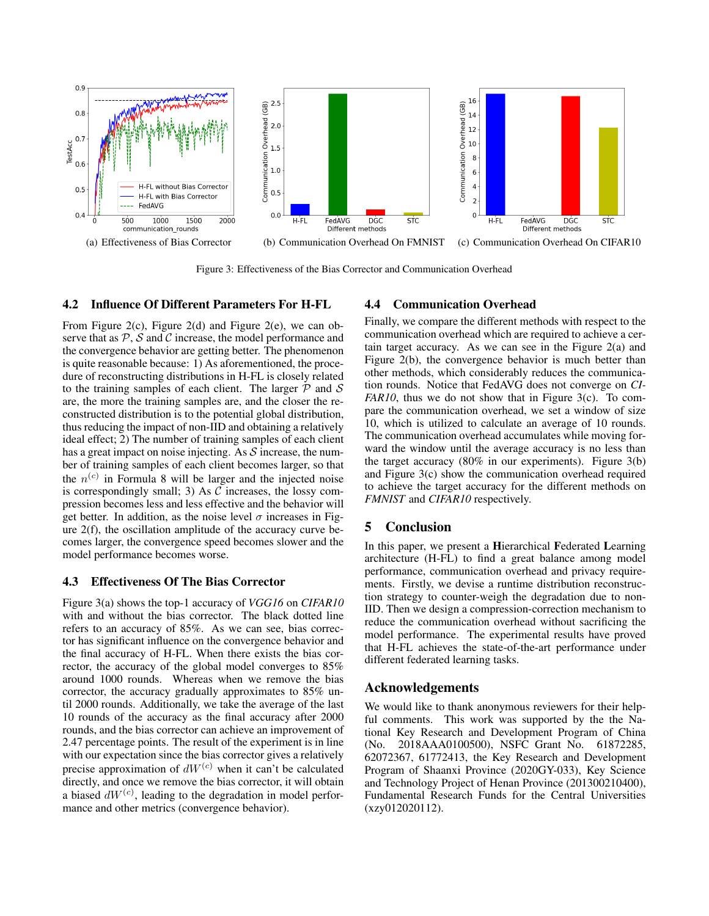<span id="page-5-0"></span>

<span id="page-5-2"></span>Figure 3: Effectiveness of the Bias Corrector and Communication Overhead

# 4.2 Influence Of Different Parameters For H-FL

From Figure [2\(c\),](#page-4-5) Figure [2\(d\)](#page-4-6) and Figure [2\(e\),](#page-4-7) we can observe that as  $P$ ,  $S$  and  $C$  increase, the model performance and the convergence behavior are getting better. The phenomenon is quite reasonable because: 1) As aforementioned, the procedure of reconstructing distributions in H-FL is closely related to the training samples of each client. The larger  $P$  and  $S$ are, the more the training samples are, and the closer the reconstructed distribution is to the potential global distribution, thus reducing the impact of non-IID and obtaining a relatively ideal effect; 2) The number of training samples of each client has a great impact on noise injecting. As  $S$  increase, the number of training samples of each client becomes larger, so that the  $n^{(c)}$  in Formula [8](#page-3-2) will be larger and the injected noise is correspondingly small; 3) As  $C$  increases, the lossy compression becomes less and less effective and the behavior will get better. In addition, as the noise level  $\sigma$  increases in Figure [2\(f\),](#page-4-8) the oscillation amplitude of the accuracy curve becomes larger, the convergence speed becomes slower and the model performance becomes worse.

### 4.3 Effectiveness Of The Bias Corrector

Figure [3\(a\)](#page-5-0) shows the top-1 accuracy of *VGG16* on *CIFAR10* with and without the bias corrector. The black dotted line refers to an accuracy of 85%. As we can see, bias corrector has significant influence on the convergence behavior and the final accuracy of H-FL. When there exists the bias corrector, the accuracy of the global model converges to 85% around 1000 rounds. Whereas when we remove the bias corrector, the accuracy gradually approximates to 85% until 2000 rounds. Additionally, we take the average of the last 10 rounds of the accuracy as the final accuracy after 2000 rounds, and the bias corrector can achieve an improvement of 2.47 percentage points. The result of the experiment is in line with our expectation since the bias corrector gives a relatively precise approximation of  $dW^{(c)}$  when it can't be calculated directly, and once we remove the bias corrector, it will obtain a biased  $dW^{(c)}$ , leading to the degradation in model performance and other metrics (convergence behavior).

# <span id="page-5-1"></span>4.4 Communication Overhead

Finally, we compare the different methods with respect to the communication overhead which are required to achieve a certain target accuracy. As we can see in the Figure [2\(a\)](#page-4-3) and Figure [2\(b\),](#page-4-4) the convergence behavior is much better than other methods, which considerably reduces the communication rounds. Notice that FedAVG does not converge on *CI-FAR10*, thus we do not show that in Figure [3\(c\).](#page-5-1) To compare the communication overhead, we set a window of size 10, which is utilized to calculate an average of 10 rounds. The communication overhead accumulates while moving forward the window until the average accuracy is no less than the target accuracy (80% in our experiments). Figure [3\(b\)](#page-5-2) and Figure [3\(c\)](#page-5-1) show the communication overhead required to achieve the target accuracy for the different methods on *FMNIST* and *CIFAR10* respectively.

# 5 Conclusion

In this paper, we present a Hierarchical Federated Learning architecture (H-FL) to find a great balance among model performance, communication overhead and privacy requirements. Firstly, we devise a runtime distribution reconstruction strategy to counter-weigh the degradation due to non-IID. Then we design a compression-correction mechanism to reduce the communication overhead without sacrificing the model performance. The experimental results have proved that H-FL achieves the state-of-the-art performance under different federated learning tasks.

# Acknowledgements

We would like to thank anonymous reviewers for their helpful comments. This work was supported by the the National Key Research and Development Program of China (No. 2018AAA0100500), NSFC Grant No. 61872285, 62072367, 61772413, the Key Research and Development Program of Shaanxi Province (2020GY-033), Key Science and Technology Project of Henan Province (201300210400), Fundamental Research Funds for the Central Universities (xzy012020112).